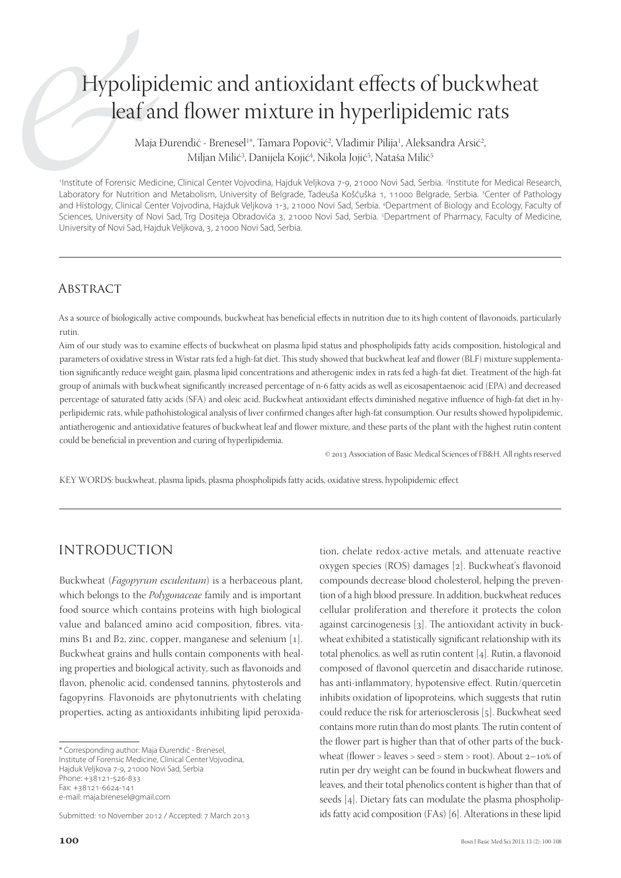# Hypolipidemic and antioxidant effects of buckwheat leaf and flower mixture in hyperlipidemic rats

Maja Đurendić - Brenesel<sup>1</sup>\*, Tamara Popović<sup>2</sup>, Vladimir Pilija<sup>1</sup>, Aleksandra Arsić<sup>2</sup> .<br>י Miljan Milić<sup>3</sup>, Danijela Kojić<sup>4</sup>, Nikola Jojić<sup>5</sup>, Nataša Milić<sup>5</sup>

1 Institute of Forensic Medicine, Clinical Center Vojvodina, Hajduk Veljkova 7-9, 21000 Novi Sad, Serbia. 2 Institute for Medical Research, Laboratory for Nutrition and Metabolism, University of Belgrade, Tadeuša Košćuška 1, 11000 Belgrade, Serbia. <sup>3</sup>Center of Pathology and Histology, Clinical Center Vojvodina, Hajduk Veljkova 1-3, 21000 Novi Sad, Serbia. 4 Department of Biology and Ecology, Faculty of Sciences, University of Novi Sad, Trg Dositeja Obradovića 3, 21000 Novi Sad, Serbia. 5 Department of Pharmacy, Faculty of Medicine, University of Novi Sad, Hajduk Veljkova, 3, 21000 Novi Sad, Serbia.

# **ABSTRACT**

As a source of biologically active compounds, buckwheat has beneficial effects in nutrition due to its high content of flavonoids, particularly rutin.

Aim of our study was to examine effects of buckwheat on plasma lipid status and phospholipids fatty acids composition, histological and parameters of oxidative stress in Wistar rats fed a high-fat diet. This study showed that buckwheat leaf and flower (BLF) mixture supplementation significantly reduce weight gain, plasma lipid concentrations and atherogenic index in rats fed a high-fat diet. Treatment of the high-fat group of animals with buckwheat significantly increased percentage of n-6 fatty acids as well as eicosapentaenoic acid (EPA) and decreased percentage of saturated fatty acids (SFA) and oleic acid. Buckwheat antioxidant effects diminished negative influence of high-fat diet in hyperlipidemic rats, while pathohistological analysis of liver confirmed changes after high-fat consumption. Our results showed hypolipidemic, antiatherogenic and antioxidative features of buckwheat leaf and flower mixture, and these parts of the plant with the highest rutin content could be beneficial in prevention and curing of hyperlipidemia.

© 2013 Association of Basic Medical Sciences of FB&H. All rights reserved

KEY WORDS: buckwheat, plasma lipids, plasma phospholipids fatty acids, oxidative stress, hypolipidemic effect

# INTRODUCTION

Buckwheat (*Fagopyrum esculentum*) is a herbaceous plant, which belongs to the *Polygonaceae* family and is important food source which contains proteins with high biological value and balanced amino acid composition, fibres, vitamins B<sub>1</sub> and B<sub>2</sub>, zinc, copper, manganese and selenium  $[1]$ . Buckwheat grains and hulls contain components with healing properties and biological activity, such as flavonoids and flavon, phenolic acid, condensed tannins, phytosterols and fagopyrins. Flavonoids are phytonutrients with chelating properties, acting as antioxidants inhibiting lipid peroxida-

Submitted: 10 November 2012 / Accepted: 7 March 2013

tion, chelate redox-active metals, and attenuate reactive oxygen species (ROS) damages [2]. Buckwheat's flavonoid compounds decrease blood cholesterol, helping the prevention of a high blood pressure. In addition, buckwheat reduces cellular proliferation and therefore it protects the colon against carcinogenesis  $[3]$ . The antioxidant activity in buckwheat exhibited a statistically significant relationship with its total phenolics, as well as rutin content  $[4]$ . Rutin, a flavonoid composed of flavonol quercetin and disaccharide rutinose, has anti-inflammatory, hypotensive effect. Rutin/quercetin inhibits oxidation of lipoproteins, which suggests that rutin could reduce the risk for arteriosclerosis [5]. Buckwheat seed contains more rutin than do most plants. The rutin content of the flower part is higher than that of other parts of the buckwheat (flower > leaves > seed > stem > root). About  $2-10\%$  of rutin per dry weight can be found in buckwheat flowers and leaves, and their total phenolics content is higher than that of seeds  $[4]$ . Dietary fats can modulate the plasma phospholipids fatty acid composition (FAs) [6]. Alterations in these lipid

<sup>\*</sup> Corresponding author: Maja Đurendić - Brenesel, Institute of Forensic Medicine, Clinical Center Vojvodina, Hajduk Veljkova 7-9, 21000 Novi Sad, Serbia Phone: +38121-526-833 Fax: +38121-6624-141 e-mail: maja.brenesel@gmail.com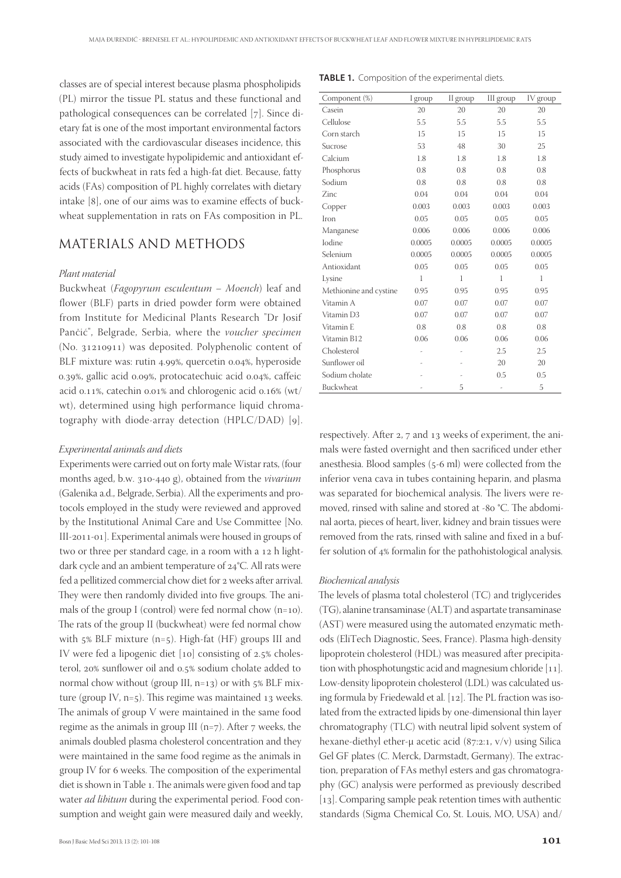classes are of special interest because plasma phospholipids (PL) mirror the tissue PL status and these functional and pathological consequences can be correlated  $[7]$ . Since dietary fat is one of the most important environmental factors associated with the cardiovascular diseases incidence, this study aimed to investigate hypolipidemic and antioxidant effects of buckwheat in rats fed a high-fat diet. Because, fatty acids (FAs) composition of PL highly correlates with dietary intake [8], one of our aims was to examine effects of buckwheat supplementation in rats on FAs composition in PL.

## MATERIALS AND METHODS

## *Plant material*

Buckwheat (*Fagopyrum esculentum – Moench*) leaf and flower (BLF) parts in dried powder form were obtained from Institute for Medicinal Plants Research "Dr Josif Pančić", Belgrade, Serbia, where the *voucher specimen*  (No. 31210911) was deposited. Polyphenolic content of BLF mixture was: rutin 4.99%, quercetin 0.04%, hyperoside 0.39%, gallic acid 0.09%, protocatechuic acid 0.04%, caffeic acid 0.11%, catechin 0.01% and chlorogenic acid 0.16%  $(wt/$ wt), determined using high performance liquid chromatography with diode-array detection  $(HPLC/DAD)$  [9].

#### *Experimental animals and diets*

Experiments were carried out on forty male Wistar rats, (four months aged, b.w. 310-440 g), obtained from the *vivarium* (Galenika a.d., Belgrade, Serbia). All the experiments and protocols employed in the study were reviewed and approved by the Institutional Animal Care and Use Committee [No. III-2011-01]. Experimental animals were housed in groups of two or three per standard cage, in a room with a 12 h lightdark cycle and an ambient temperature of 24°C. All rats were fed a pellitized commercial chow diet for 2 weeks after arrival. They were then randomly divided into five groups. The animals of the group I (control) were fed normal chow  $(n=10)$ . The rats of the group II (buckwheat) were fed normal chow with  $5\%$  BLF mixture (n=5). High-fat (HF) groups III and IV were fed a lipogenic diet  $[10]$  consisting of 2.5% cholesterol, 20% sunflower oil and 0.5% sodium cholate added to normal chow without (group III,  $n=13$ ) or with  $5\%$  BLF mixture (group IV,  $n=5$ ). This regime was maintained 13 weeks. The animals of group V were maintained in the same food regime as the animals in group III ( $n=7$ ). After 7 weeks, the animals doubled plasma cholesterol concentration and they were maintained in the same food regime as the animals in group IV for 6 weeks. The composition of the experimental diet is shown in Table 1. The animals were given food and tap water *ad libitum* during the experimental period. Food consumption and weight gain were measured daily and weekly,

| Component (%)          | I group | II group | III group | IV group |
|------------------------|---------|----------|-----------|----------|
| Casein                 | 20      | 20       | 20        | 20       |
| Cellulose              | 5.5     | 5.5      | 5.5       | 5.5      |
| Corn starch            | 15      | 15       | 15        | 15       |
| Sucrose                | 53      | 48       | 30        | 25       |
| Calcium                | 1.8     | 1.8      | 1.8       | 1.8      |
| Phosphorus             | 0.8     | 0.8      | 0.8       | 0.8      |
| Sodium                 | 0.8     | 0.8      | 0.8       | 0.8      |
| Zinc                   | 0.04    | 0.04     | 0.04      | 0.04     |
| Copper                 | 0.003   | 0.003    | 0.003     | 0.003    |
| Iron                   | 0.05    | 0.05     | 0.05      | 0.05     |
| Manganese              | 0.006   | 0.006    | 0.006     | 0.006    |
| Iodine                 | 0.0005  | 0.0005   | 0.0005    | 0.0005   |
| Selenium               | 0.0005  | 0.0005   | 0.0005    | 0.0005   |
| Antioxidant            | 0.05    | 0.05     | 0.05      | 0.05     |
| Lysine                 | 1       | 1        | 1         | 1        |
| Methionine and cystine | 0.95    | 0.95     | 0.95      | 0.95     |
| Vitamin A              | 0.07    | 0.07     | 0.07      | 0.07     |
| Vitamin D3             | 0.07    | 0.07     | 0.07      | 0.07     |
| Vitamin E              | 0.8     | 0.8      | 0.8       | 0.8      |
| Vitamin B12            | 0.06    | 0.06     | 0.06      | 0.06     |
| Cholesterol            |         |          | 2.5       | 2.5      |
| Sunflower oil          |         |          | 20        | 20       |
| Sodium cholate         |         |          | 0.5       | 0.5      |
| Buckwheat              |         | 5        | ÷,        | 5        |

**TABLE 1.** Composition of the experimental diets.

respectively. After  $2$ ,  $7$  and  $13$  weeks of experiment, the animals were fasted overnight and then sacrificed under ether anesthesia. Blood samples  $(5-6$  ml) were collected from the inferior vena cava in tubes containing heparin, and plasma was separated for biochemical analysis. The livers were removed, rinsed with saline and stored at -80 °C. The abdominal aorta, pieces of heart, liver, kidney and brain tissues were removed from the rats, rinsed with saline and fixed in a buffer solution of 4% formalin for the pathohistological analysis.

#### *Biochemical analysis*

The levels of plasma total cholesterol (TC) and triglycerides (TG), alanine transaminase (ALT) and aspartate transaminase (AST) were measured using the automated enzymatic methods (EliTech Diagnostic, Sees, France). Plasma high-density lipoprotein cholesterol (HDL) was measured after precipitation with phosphotungstic acid and magnesium chloride  $[11]$ . Low-density lipoprotein cholesterol (LDL) was calculated using formula by Friedewald et al.  $[12]$ . The PL fraction was isolated from the extracted lipids by one-dimensional thin layer chromatography (TLC) with neutral lipid solvent system of hexane-diethyl ether- $\mu$  acetic acid (87:2:1, v/v) using Silica Gel GF plates (C. Merck, Darmstadt, Germany). The extraction, preparation of FAs methyl esters and gas chromatography (GC) analysis were performed as previously described [13]. Comparing sample peak retention times with authentic standards (Sigma Chemical Co, St. Louis, MO, USA) and/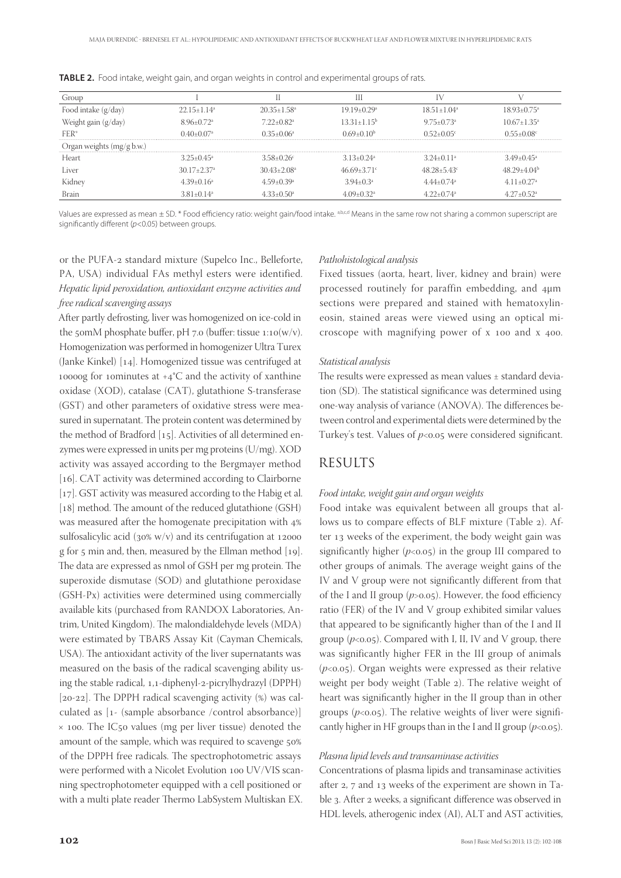| Group                     |                              |                               | Ш                             | IV                            |                               |
|---------------------------|------------------------------|-------------------------------|-------------------------------|-------------------------------|-------------------------------|
| Food intake $(g/day)$     | $22.15 \pm 1.14^a$           | $20.35 \pm 1.58$ <sup>a</sup> | $19.19 + 0.29$ <sup>a</sup>   | $18.51 \pm 1.04$ <sup>a</sup> | $18.93 \pm 0.75$ <sup>a</sup> |
| Weight gain (g/day)       | $8.96 \pm 0.72$ <sup>a</sup> | $7.22 \pm 0.82$ <sup>a</sup>  | $13.31 \pm 1.15$ <sup>b</sup> | $9.75 \pm 0.73$ <sup>a</sup>  | $10.67 \pm 1.35$ <sup>a</sup> |
| $FER*$                    | $0.40+0.07a$                 | $0.35 \pm 0.06^a$             | $0.69 \pm 0.10^b$             | $0.52 \pm 0.05$ <sup>c</sup>  | $0.55 \pm 0.08$ <sup>c</sup>  |
| Organ weights (mg/g b.w.) |                              |                               |                               |                               |                               |
| Heart                     | $3.25 + 0.45^a$              | $3.58 \pm 0.26$ <sup>c</sup>  | $3.13+0.24^a$                 | $3.24+0.11a$                  | $3.49 + 0.45$ <sup>a</sup>    |
| Liver                     | $30.17 + 2.37$ <sup>a</sup>  | $30.43 + 2.08^a$              | $46.69 + 3.71$ <sup>c</sup>   | $48.28 \pm 5.43$ <sup>c</sup> | $48.29 + 4.04^b$              |
| Kidney                    | $4.39+0.16^a$                | $4.59 \pm 0.39$ <sup>a</sup>  | $3.94 \pm 0.3^{\circ}$        | $4.44+0.74^a$                 | $4.11 + 0.27$ <sup>a</sup>    |
| <b>Brain</b>              | $3.81 \pm 0.14$ <sup>a</sup> | $4.33 \pm 0.50^a$             | $4.09 \pm 0.32$ <sup>a</sup>  | $4.22 \pm 0.74$ <sup>a</sup>  | $4.27 \pm 0.52$ <sup>a</sup>  |

**TABLE 2.** Food intake, weight gain, and organ weights in control and experimental groups of rats.

Values are expressed as mean ± SD. \* Food efficiency ratio: weight gain/food intake. ab.cd Means in the same row not sharing a common superscript are significantly different ( $p$ <0.05) between groups.

or the PUFA-2 standard mixture (Supelco Inc., Belleforte, PA, USA) individual FAs methyl esters were identified. *Hepatic lipid peroxidation, antioxidant enzyme activities and free radical scavenging assays* 

After partly defrosting, liver was homogenized on ice-cold in the 50mM phosphate buffer, pH 7.0 (buffer: tissue  $1:10(w/v)$ . Homogenization was performed in homogenizer Ultra Turex (Janke Kinkel) [14]. Homogenized tissue was centrifuged at 10000g for 10minutes at  $+4^{\circ}C$  and the activity of xanthine oxidase (XOD), catalase (CAT), glutathione S-transferase (GST) and other parameters of oxidative stress were measured in supernatant. The protein content was determined by the method of Bradford  $[15]$ . Activities of all determined enzymes were expressed in units per mg proteins (U/mg). XOD activity was assayed according to the Bergmayer method [16]. CAT activity was determined according to Clairborne  $[17]$ . GST activity was measured according to the Habig et al. [18] method. The amount of the reduced glutathione (GSH) was measured after the homogenate precipitation with sulfosalicylic acid  $(30\% \text{ w/v})$  and its centrifugation at 12000 g for  $5$  min and, then, measured by the Ellman method [19]. The data are expressed as nmol of GSH per mg protein. The superoxide dismutase (SOD) and glutathione peroxidase (GSH-Px) activities were determined using commercially available kits (purchased from RANDOX Laboratories, Antrim, United Kingdom). The malondialdehyde levels (MDA) were estimated by TBARS Assay Kit (Cayman Chemicals, USA). The antioxidant activity of the liver supernatants was measured on the basis of the radical scavenging ability using the stable radical, 1,1-diphenyl-2-picrylhydrazyl (DPPH) [ $20-22$ ]. The DPPH radical scavenging activity (%) was calculated as [1- (sample absorbance /control absorbance)]  $\times$  100. The IC50 values (mg per liver tissue) denoted the amount of the sample, which was required to scavenge 50% of the DPPH free radicals. The spectrophotometric assays were performed with a Nicolet Evolution 100 UV/VIS scanning spectrophotometer equipped with a cell positioned or with a multi plate reader Thermo LabSystem Multiskan EX.

## *Pathohistological analysis*

Fixed tissues (aorta, heart, liver, kidney and brain) were processed routinely for paraffin embedding, and μm sections were prepared and stained with hematoxylineosin, stained areas were viewed using an optical microscope with magnifying power of  $x$  100 and  $x$  400.

#### *Statistical analysis*

The results were expressed as mean values  $\pm$  standard deviation (SD). The statistical significance was determined using one-way analysis of variance (ANOVA). The differences between control and experimental diets were determined by the Turkey's test. Values of  $p<sub>0.05</sub>$  were considered significant.

## RESULTS

#### *Food intake, weight gain and organ weights*

Food intake was equivalent between all groups that allows us to compare effects of BLF mixture (Table 2). After 13 weeks of the experiment, the body weight gain was significantly higher  $(p<0.05)$  in the group III compared to other groups of animals. The average weight gains of the IV and V group were not significantly different from that of the I and II group  $(p>0.05)$ . However, the food efficiency ratio (FER) of the IV and V group exhibited similar values that appeared to be significantly higher than of the I and II group  $(p<0.05)$ . Compared with I, II, IV and V group, there was significantly higher FER in the III group of animals  $(p<0.05)$ . Organ weights were expressed as their relative weight per body weight (Table 2). The relative weight of heart was significantly higher in the II group than in other groups  $(p<0.05)$ . The relative weights of liver were significantly higher in HF groups than in the I and II group  $(p<0.05)$ .

#### *Plasma lipid levels and transaminase activities*

Concentrations of plasma lipids and transaminase activities after 2,  $7$  and 13 weeks of the experiment are shown in Table 3. After 2 weeks, a significant difference was observed in HDL levels, atherogenic index (AI), ALT and AST activities,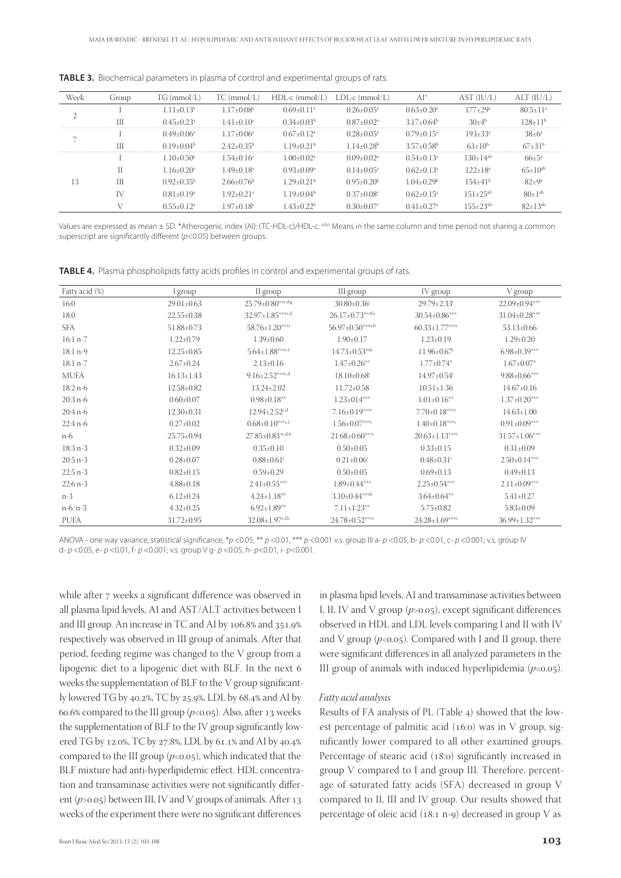| Week           | Group | $TG \, (mmol/L)$             | $TC$ (mmol/L)                | $HDL-c$ (mmol/L)             | $LDL-c$ (mmol/L)           | $AI^*$                       | AST (IU/L)                | ALT (IU/L)                 |
|----------------|-------|------------------------------|------------------------------|------------------------------|----------------------------|------------------------------|---------------------------|----------------------------|
| $\overline{2}$ |       | $1.11 \pm 0.13$ <sup>a</sup> | $1.17 \pm 0.08$ <sup>a</sup> | $0.69+0.11$ <sup>a</sup>     | $0.26 + 0.05^{\circ}$      | $0.63 \pm 0.20$ <sup>a</sup> | $177 \pm 29^{\rm a}$      | $80.5 \pm 11$ <sup>a</sup> |
|                | Ш     | $0.45+0.23$ <sup>a</sup>     | $1.41 + 0.10a$               | $0.34 \pm 0.03^b$            | $0.87+0.02^a$              | $3.17 \pm 0.64^b$            | $30+4^{b}$                | $128 \pm 11^{b}$           |
|                |       | $0.49+0.06^a$                | $1.17 \pm 0.06^{\mathrm{a}}$ | $0.67 \pm 0.12$ <sup>a</sup> | $0.28 + 0.05^{\circ}$      | $0.79+0.15^{\circ}$          | $193 \pm 33$ <sup>a</sup> | $38\pm6^{\circ}$           |
|                | Ш     | $0.19+0.04b$                 | $2.42 \pm 0.35^b$            | $1.19 + 0.21b$               | $1.14 + 0.28$ <sup>b</sup> | $3.57 \pm 0.58$ <sup>b</sup> | $63 \pm 10^{b}$           | $67{\pm}31^{\rm b}$        |
| 13             |       | $1.10+0.50^a$                | $1.54 + 0.16^a$              | $1.00+0.02^a$                | $0.09 + 0.02^a$            | $0.54 \pm 0.13$ <sup>a</sup> | $130 \pm 14^{ab}$         | $66 \pm 5^{\circ}$         |
|                | Н     | $1.16 + 0.20$ <sup>a</sup>   | $1.49 + 0.18a$               | $0.93+0.09a$                 | $0.14+0.05^{\circ}$        | $0.62+0.13a$                 | $122 \pm 18^a$            | $65 \pm 10^{ab}$           |
|                | Ш     | $0.92 + 0.35^{\circ}$        | $2.66 \pm 0.76$              | $1.29 + 0.21$ <sup>b</sup>   | $0.95+0.20b$               | $1.04 \pm 0.29$ <sup>b</sup> | $154 \pm 41^{b}$          | $82{\pm}9^{\rm b}$         |
|                | IV    | $0.81 + 0.19$ <sup>a</sup>   | $1.92 + 0.21$ <sup>a</sup>   | $1.19 + 0.04^b$              | $0.37+0.08c$               | $0.62 \pm 0.15^{\text{a}}$   | $151 \pm 25^{ab}$         | $80 \pm 1$ <sup>ab</sup>   |
|                |       | $0.55 \pm 0.12$ <sup>a</sup> | $1.97 \pm 0.18$ <sup>a</sup> | $1.43 \pm 0.22^b$            | $0.30+0.07c$               | $0.41 \pm 0.27$ <sup>a</sup> | $155 \pm 23^{ab}$         | $82 \pm 13^{ab}$           |

**TABLE 3.** Biochemical parameters in plasma of control and experimental groups of rats.

Values are expressed as mean ± SD. \*Atherogenic index (AI): (TC-HDL-c)/HDL-c. a,b,c Means in the same column and time period not sharing a common superscript are significantly different ( $p$ <0.05) between groups.

TABLE 4. Plasma phospholipids fatty acids profiles in control and experimental groups of rats.

| Fatty acid (%) | I group          | II group                        | III group                        | IV group                      | V group             |
|----------------|------------------|---------------------------------|----------------------------------|-------------------------------|---------------------|
| 16:0           | $29.01 \pm 0.63$ | $25.79 \pm 0.80$ **c,d,g        | $30.80 \pm 0.36$                 | $29.79 \pm 2.33^i$            | $22.09 \pm 0.94***$ |
| 18:0           | $22.55 \pm 0.38$ | $32.97 \pm 1.85***$ c,d         | $26.17 \pm 0.73***$ fj           | $30.54 \pm 0.86***$           | $31.04 \pm 0.28***$ |
| <b>SFA</b>     | $51.88 \pm 0.73$ | 58.76±1.20***i                  | $56.97 \pm 0.50$ ***e,h          | $60.33 \pm 1.77***$           | $53.13 \pm 0.66$    |
| 16:1 n-7       | $1.22 \pm 0.79$  | $1.39 \pm 0.60$                 | $1.90 \pm 0.17$                  | $1.23 \pm 0.19$               | $1.29 \pm 0.20$     |
| 18:1 n-9       | $12.25 \pm 0.85$ | $5.64 \pm 1.88***$              | $14.73 \pm 0.53$ <sup>*d,i</sup> | $11.96 \pm 0.67$ <sup>i</sup> | $6.98 \pm 0.39***$  |
| $18:1 n-7$     | $2.67 \pm 0.24$  | $2.13 \pm 0.16$                 | $1.47 \pm 0.26$ **               | $1.77 \pm 0.74^*$             | $1.67 \pm 0.07^*$   |
| <b>MUFA</b>    | $16.13 \pm 1.43$ | $9.16 \pm 2.52$ ***c.d          | $18.10 \pm 0.68$                 | $14.97 \pm 0.54$ <sup>i</sup> | $9.88 \pm 0.66$ *** |
| 18:2 n-6       | $12.58 \pm 0.82$ | $13.24 \pm 2.02$                | $11.72 \pm 0.58$                 | $10.51 \pm 1.36$              | $14.67 \pm 0.16$    |
| $20:3 n-6$     | $0.60 \pm 0.07$  | $0.98 \pm 0.18**$               | $1.23 \pm 014***$                | $1.01 \pm 0.16**$             | $1.37 \pm 0.20***$  |
| $20:4 n-6$     | $12.30 \pm 0.31$ | $12.94 \pm 2.52$ <sup>c,d</sup> | $7.16\pm0.19***$                 | $7.70 \pm 0.18***$            | $14.63 \pm 1.00$    |
| $22:4 n-6$     | $0.27 \pm 0.02$  | $0.68 \pm 0.10***$              | $1.56 \pm 0.07$ ***i             | $1.40\pm0.18***$              | $0.91 \pm 0.09$ *** |
| n-6            | $25.75 \pm 0.94$ | $27.85 \pm 0.83$ *c,d,h         | $21.68 \pm 0.60$ ***i            | $20.63 \pm 1.13***$           | $31.57 \pm 1.06***$ |
| 18:3 n-3       | $0.32 \pm 0.09$  | $0.35 \pm 0.10$                 | $0.50 \pm 0.05$                  | $0.33 \pm 0.15$               | $0.31 \pm 0.09$     |
| $20:5 n-3$     | $0.28 \pm 0.07$  | $0.88 \pm 0.61$ <sup>i</sup>    | $0.21 \pm 0.06$ <sup>i</sup>     | $0.48 \pm 0.31$ <sup>i</sup>  | $2.50\pm0.14***$    |
| $22:5 n-3$     | $0.82 \pm 0.15$  | $0.59 \pm 0.29$                 | $0.50 \pm 0.05$                  | $0.69 \pm 0.13$               | $0.49 \pm 0.13$     |
| $22:6 n-3$     | $4.88 \pm 0.18$  | $2.41 \pm 0.55***$              | $1.89 \pm 0.44***$               | $2.25 \pm 0.54***$            | $2.11 \pm 0.09***$  |
| $n-3$          | $6.12 \pm 0.24$  | $4.24 \pm 1.18***$              | $3.10\pm0.44***$                 | $3.64 \pm 0.64$ **            | $5.41 \pm 0.27$     |
| $n-6/n-3$      | $4.32 \pm 0.25$  | $6.92 \pm 1.89$ **              | $7.11 \pm 1.23$ **               | $5.75 \pm 0.82$               | $5.83 \pm 0.09$     |
| <b>PUFA</b>    | $31.72 \pm 0.95$ | $32.08 \pm 1.97^{\text{c,fh}}$  | 24.78±0.52***i                   | $24.28 \pm 1.69$ ***i         | 36.99±1.32***       |

ANOVA - one way variance, statistical significance, \*p <0.05, \*\* p <0.01, \*\*\* p <0.001 v.s. group IV a- p <0.05, b- p <0.01, c- p <0.001; v.s. group IV d- p <0.05, e- p <0.01, f- p <0.001; v.s. group V g- p <0.05, h- p<0.01, i- p<0.001.

while after 7 weeks a significant difference was observed in all plasma lipid levels, AI and AST/ALT activities between I and III group. An increase in TC and AI by 106.8% and 351.9% respectively was observed in III group of animals. After that period, feeding regime was changed to the V group from a lipogenic diet to a lipogenic diet with BLF. In the next weeks the supplementation of BLF to the V group significantly lowered TG by 40.2%, TC by 25.9%, LDL by 68.4% and AI by 60.6% compared to the III group ( $p<$  0.05). Also, after 13 weeks the supplementation of BLF to the IV group significantly lowered TG by 12.0%, TC by 27.8%, LDL by 61.1% and AI by 40.4% compared to the III group  $(p<0.05)$ , which indicated that the BLF mixture had anti-hyperlipidemic effect. HDL concentration and transaminase activities were not significantly different  $(p>0.05)$  between III, IV and V groups of animals. After 13 weeks of the experiment there were no significant differences

in plasma lipid levels, AI and transaminase activities between I, II, IV and V group ( $p$ >0.05), except significant differences observed in HDL and LDL levels comparing I and II with IV and V group  $(p<0.05)$ . Compared with I and II group, there were significant differences in all analyzed parameters in the III group of animals with induced hyperlipidemia  $(p<0.05)$ .

#### *Fatty acid analysis*

Results of FA analysis of PL (Table 4) showed that the lowest percentage of palmitic acid ( $16:$ o) was in V group, significantly lower compared to all other examined groups. Percentage of stearic acid  $(18:0)$  significantly increased in group V compared to I and group III. Therefore, percentage of saturated fatty acids (SFA) decreased in group V compared to II, III and IV group. Our results showed that percentage of oleic acid ( $18:1$  n-9) decreased in group V as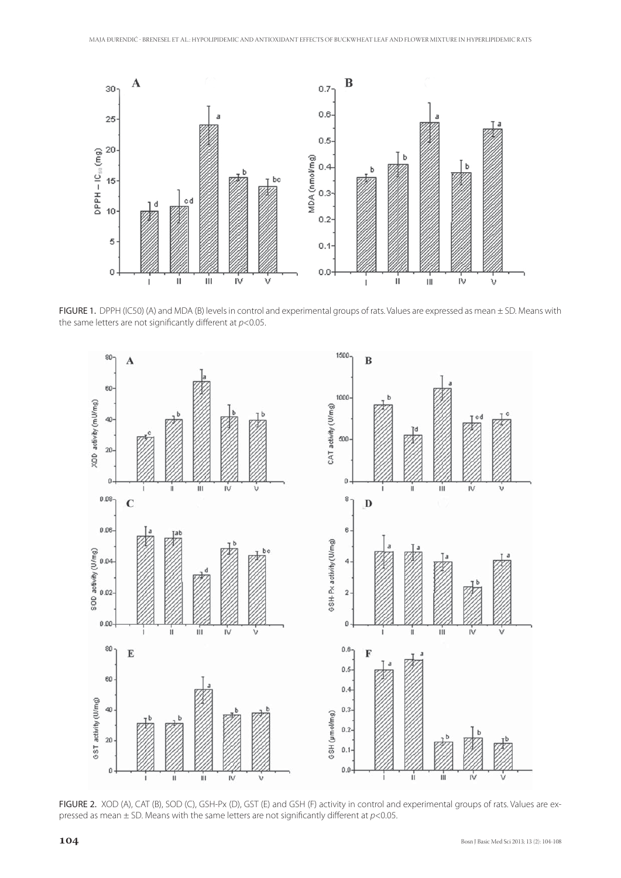

FIGURE 1. DPPH (IC50) (A) and MDA (B) levels in control and experimental groups of rats. Values are expressed as mean ± SD. Means with the same letters are not significantly different at  $p<0.05$ .



FIGURE 2. XOD (A), CAT (B), SOD (C), GSH-Px (D), GST (E) and GSH (F) activity in control and experimental groups of rats. Values are expressed as mean  $\pm$  SD. Means with the same letters are not significantly different at  $p$ <0.05.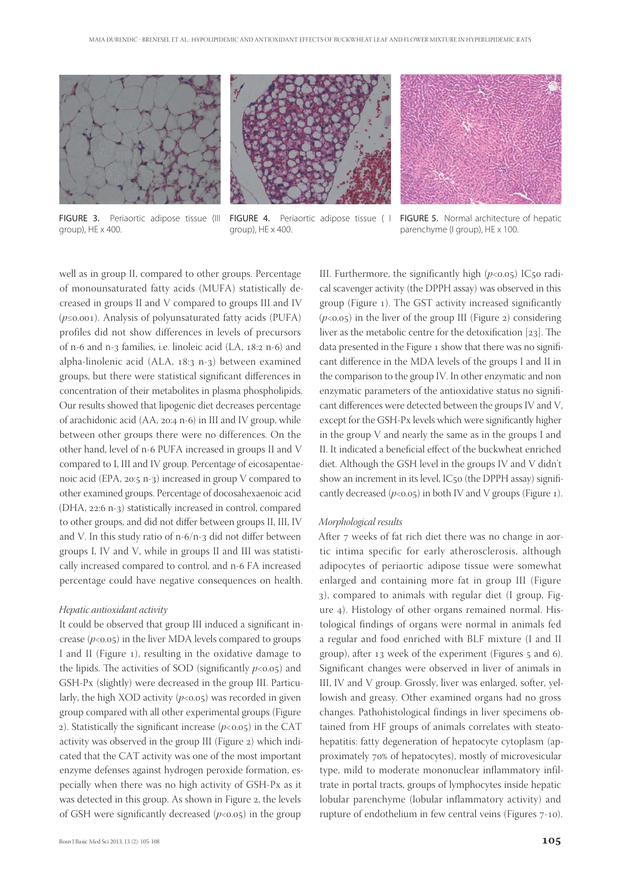

group), HE x 400.

group), HE x 400.

FIGURE 3. Periaortic adipose tissue (III FIGURE 4. Periaortic adipose tissue ( I FIGURE 5. Normal architecture of hepatic parenchyme (I group), HE x 100.

well as in group II, compared to other groups. Percentage of monounsaturated fatty acids (MUFA) statistically decreased in groups II and V compared to groups III and IV ( $p$ ≤0.001). Analysis of polyunsaturated fatty acids (PUFA) profiles did not show differences in levels of precursors of n-6 and n-3 families, i.e. linoleic acid (LA, 18:2 n-6) and alpha-linolenic acid  $(ALA, 18:3 n-3)$  between examined groups, but there were statistical significant differences in concentration of their metabolites in plasma phospholipids. Our results showed that lipogenic diet decreases percentage of arachidonic acid (AA, 20:4 n-6) in III and IV group, while between other groups there were no differences. On the other hand, level of n-6 PUFA increased in groups II and V compared to I, III and IV group. Percentage of eicosapentaenoic acid (EPA, 20:5 n-3) increased in group V compared to other examined groups. Percentage of docosahexaenoic acid (DHA, 22:6 n-3) statistically increased in control, compared to other groups, and did not differ between groups II, III, IV and V. In this study ratio of  $n-6/n-3$  did not differ between groups I, IV and V, while in groups II and III was statistically increased compared to control, and n-6 FA increased percentage could have negative consequences on health.

#### *Hepatic antioxidant activity*

It could be observed that group III induced a significant increase  $(p<0.05)$  in the liver MDA levels compared to groups I and II (Figure 1), resulting in the oxidative damage to the lipids. The activities of SOD (significantly  $p<0.05$ ) and GSH-Px (slightly) were decreased in the group III. Particularly, the high XOD activity  $(p<0.05)$  was recorded in given group compared with all other experimental groups (Figure 2). Statistically the significant increase  $(p<0.05)$  in the CAT activity was observed in the group III (Figure 2) which indicated that the CAT activity was one of the most important enzyme defenses against hydrogen peroxide formation, especially when there was no high activity of GSH-Px as it was detected in this group. As shown in Figure 2, the levels of GSH were significantly decreased  $(p<0.05)$  in the group

III. Furthermore, the significantly high  $(p<0.05)$  IC<sub>50</sub> radical scavenger activity (the DPPH assay) was observed in this group (Figure ). The GST activity increased significantly  $(p<0.05)$  in the liver of the group III (Figure 2) considering liver as the metabolic centre for the detoxification  $[23]$ . The data presented in the Figure 1 show that there was no significant difference in the MDA levels of the groups I and II in the comparison to the group IV. In other enzymatic and non enzymatic parameters of the antioxidative status no significant differences were detected between the groups IV and V, except for the GSH-Px levels which were significantly higher in the group V and nearly the same as in the groups I and II. It indicated a beneficial effect of the buckwheat enriched diet. Although the GSH level in the groups IV and V didn't show an increment in its level,  $IC<sub>50</sub>$  (the DPPH assay) significantly decreased  $(p<0.05)$  in both IV and V groups (Figure 1).

### *Morphological results*

After 7 weeks of fat rich diet there was no change in aortic intima specific for early atherosclerosis, although adipocytes of periaortic adipose tissue were somewhat enlarged and containing more fat in group III (Figure ), compared to animals with regular diet (I group, Figure 4). Histology of other organs remained normal. Histological findings of organs were normal in animals fed a regular and food enriched with BLF mixture (I and II group), after  $13$  week of the experiment (Figures  $5$  and  $6$ ). Significant changes were observed in liver of animals in III, IV and V group. Grossly, liver was enlarged, softer, yellowish and greasy. Other examined organs had no gross changes. Pathohistological findings in liver specimens obtained from HF groups of animals correlates with steatohepatitis: fatty degeneration of hepatocyte cytoplasm (approximately 70% of hepatocytes), mostly of microvesicular type, mild to moderate mononuclear inflammatory infiltrate in portal tracts, groups of lymphocytes inside hepatic lobular parenchyme (lobular inflammatory activity) and rupture of endothelium in few central veins (Figures 7-10).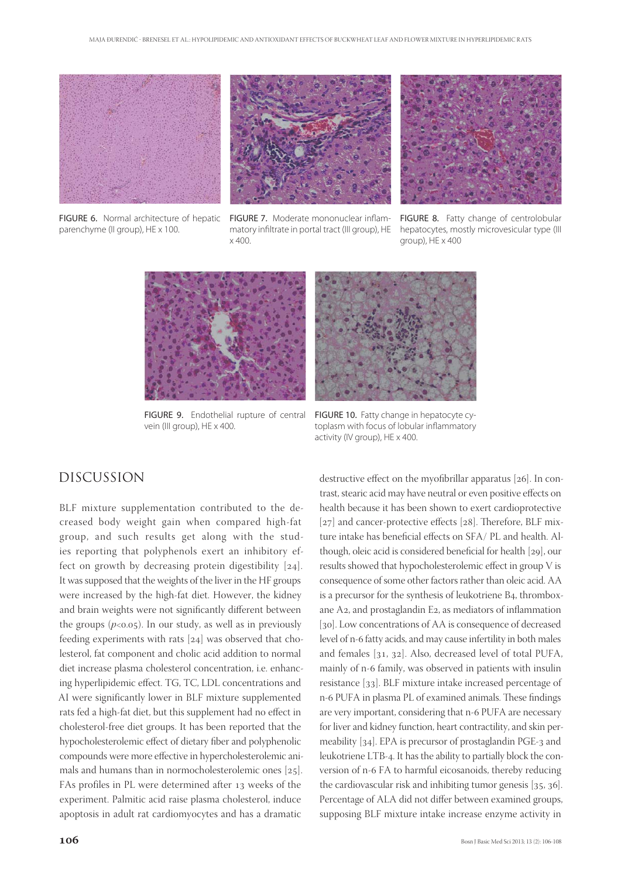

parenchyme (II group), HE x 100.

FIGURE 6. Normal architecture of hepatic FIGURE 7. Moderate mononuclear inflammatory infiltrate in portal tract (III group), HE  $\times$  400

FIGURE 8. Fatty change of centrolobular hepatocytes, mostly microvesicular type (III group), HE x 400



FIGURE 9. Endothelial rupture of central vein (III group), HE x 400.



FIGURE 10. Fatty change in hepatocyte cytoplasm with focus of lobular inflammatory activity (IV group), HE x 400.

## DISCUSSION

BLF mixture supplementation contributed to the decreased body weight gain when compared high-fat group, and such results get along with the studies reporting that polyphenols exert an inhibitory effect on growth by decreasing protein digestibility  $[24]$ . It was supposed that the weights of the liver in the HF groups were increased by the high-fat diet. However, the kidney and brain weights were not significantly different between the groups  $(p<0.05)$ . In our study, as well as in previously feeding experiments with rats  $[24]$  was observed that cholesterol, fat component and cholic acid addition to normal diet increase plasma cholesterol concentration, i.e. enhancing hyperlipidemic effect. TG, TC, LDL concentrations and AI were significantly lower in BLF mixture supplemented rats fed a high-fat diet, but this supplement had no effect in cholesterol-free diet groups. It has been reported that the hypocholesterolemic effect of dietary fiber and polyphenolic compounds were more effective in hypercholesterolemic animals and humans than in normocholesterolemic ones  $[25]$ . FAs profiles in PL were determined after 13 weeks of the experiment. Palmitic acid raise plasma cholesterol, induce apoptosis in adult rat cardiomyocytes and has a dramatic

destructive effect on the myofibrillar apparatus  $[26]$ . In contrast, stearic acid may have neutral or even positive effects on health because it has been shown to exert cardioprotective  $[z7]$  and cancer-protective effects  $[z8]$ . Therefore, BLF mixture intake has beneficial effects on SFA/ PL and health. Although, oleic acid is considered beneficial for health [29], our results showed that hypocholesterolemic effect in group V is consequence of some other factors rather than oleic acid. AA is a precursor for the synthesis of leukotriene B4, thromboxane A2, and prostaglandin E2, as mediators of inflammation [30]. Low concentrations of AA is consequence of decreased level of n-6 fatty acids, and may cause infertility in both males and females  $[31, 32]$ . Also, decreased level of total PUFA, mainly of n-6 family, was observed in patients with insulin resistance [33]. BLF mixture intake increased percentage of n-6 PUFA in plasma PL of examined animals. These findings are very important, considering that n-6 PUFA are necessary for liver and kidney function, heart contractility, and skin permeability  $[34]$ . EPA is precursor of prostaglandin PGE-3 and leukotriene LTB-4. It has the ability to partially block the conversion of n-6 FA to harmful eicosanoids, thereby reducing the cardiovascular risk and inhibiting tumor genesis  $[35, 36]$ . Percentage of ALA did not differ between examined groups, supposing BLF mixture intake increase enzyme activity in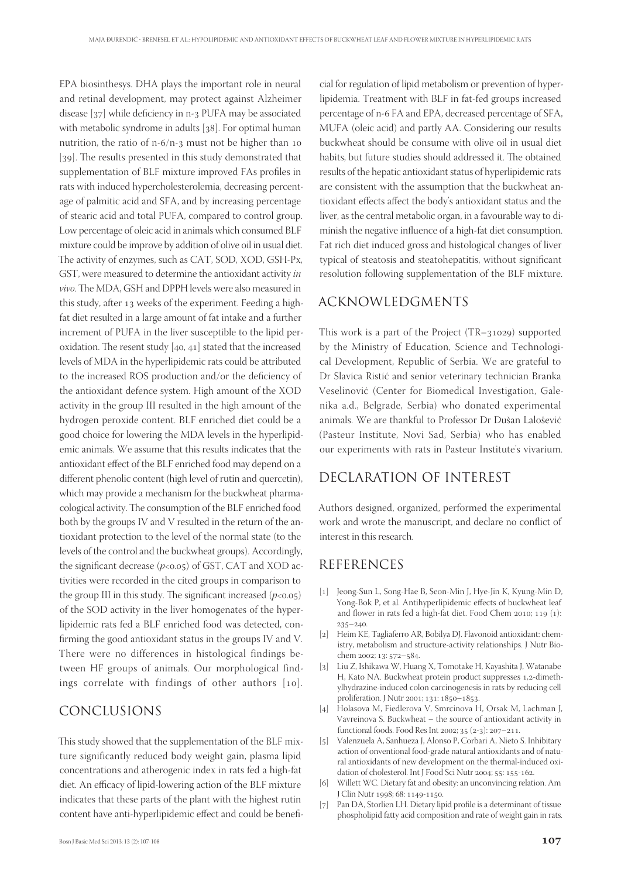EPA biosinthesys. DHA plays the important role in neural and retinal development, may protect against Alzheimer disease  $[37]$  while deficiency in n-3 PUFA may be associated with metabolic syndrome in adults [38]. For optimal human nutrition, the ratio of  $n-6/n-3$  must not be higher than 10 [ $39$ ]. The results presented in this study demonstrated that supplementation of BLF mixture improved FAs profiles in rats with induced hypercholesterolemia, decreasing percentage of palmitic acid and SFA, and by increasing percentage of stearic acid and total PUFA, compared to control group. Low percentage of oleic acid in animals which consumed BLF mixture could be improve by addition of olive oil in usual diet. The activity of enzymes, such as CAT, SOD, XOD, GSH-Px, GST, were measured to determine the antioxidant activity *in vivo*. The MDA, GSH and DPPH levels were also measured in this study, after 13 weeks of the experiment. Feeding a highfat diet resulted in a large amount of fat intake and a further increment of PUFA in the liver susceptible to the lipid peroxidation. The resent study  $[40, 41]$  stated that the increased levels of MDA in the hyperlipidemic rats could be attributed to the increased ROS production and/or the deficiency of the antioxidant defence system. High amount of the XOD activity in the group III resulted in the high amount of the hydrogen peroxide content. BLF enriched diet could be a good choice for lowering the MDA levels in the hyperlipidemic animals. We assume that this results indicates that the antioxidant effect of the BLF enriched food may depend on a different phenolic content (high level of rutin and quercetin), which may provide a mechanism for the buckwheat pharmacological activity. The consumption of the BLF enriched food both by the groups IV and V resulted in the return of the antioxidant protection to the level of the normal state (to the levels of the control and the buckwheat groups). Accordingly, the significant decrease  $(p<0.05)$  of GST, CAT and XOD activities were recorded in the cited groups in comparison to the group III in this study. The significant increased  $(p<0.05)$ of the SOD activity in the liver homogenates of the hyperlipidemic rats fed a BLF enriched food was detected, confirming the good antioxidant status in the groups IV and  $V$ . There were no differences in histological findings between HF groups of animals. Our morphological findings correlate with findings of other authors [10].

## CONCLUSIONS

This study showed that the supplementation of the BLF mixture significantly reduced body weight gain, plasma lipid concentrations and atherogenic index in rats fed a high-fat diet. An efficacy of lipid-lowering action of the BLF mixture indicates that these parts of the plant with the highest rutin content have anti-hyperlipidemic effect and could be benefi-

cial for regulation of lipid metabolism or prevention of hyperlipidemia. Treatment with BLF in fat-fed groups increased percentage of n-6 FA and EPA, decreased percentage of SFA, MUFA (oleic acid) and partly AA. Considering our results buckwheat should be consume with olive oil in usual diet habits, but future studies should addressed it. The obtained results of the hepatic antioxidant status of hyperlipidemic rats are consistent with the assumption that the buckwheat antioxidant effects affect the body's antioxidant status and the liver, as the central metabolic organ, in a favourable way to diminish the negative influence of a high-fat diet consumption. Fat rich diet induced gross and histological changes of liver typical of steatosis and steatohepatitis, without significant resolution following supplementation of the BLF mixture.

## ACKNOWLEDGMENTS

This work is a part of the Project  $(TR-31029)$  supported by the Ministry of Education, Science and Technological Development, Republic of Serbia. We are grateful to Dr Slavica Ristić and senior veterinary technician Branka Veselinović (Center for Biomedical Investigation, Galenika a.d., Belgrade, Serbia) who donated experimental animals. We are thankful to Professor Dr Dušan Lalošević (Pasteur Institute, Novi Sad, Serbia) who has enabled our experiments with rats in Pasteur Institute's vivarium.

## DECLARATION OF INTEREST

Authors designed, organized, performed the experimental work and wrote the manuscript, and declare no conflict of interest in this research.

## REFERENCES

- [] Jeong-Sun L, Song-Hae B, Seon-Min J, Hye-Jin K, Kyung-Min D, Yong-Bok P, et al. Antihyperlipidemic effects of buckwheat leaf and flower in rats fed a high-fat diet. Food Chem 2010;  $119$  (1):  $235 - 240$
- [2] Heim KE, Tagliaferro AR, Bobilya DJ. Flavonoid antioxidant: chemistry, metabolism and structure-activity relationships. J Nutr Biochem 2002; 13: 572-584.
- [3] Liu Z, Ishikawa W, Huang X, Tomotake H, Kayashita J, Watanabe H, Kato NA. Buckwheat protein product suppresses 1,2-dimethylhydrazine-induced colon carcinogenesis in rats by reducing cell proliferation. J Nutr 2001; 131: 1850-1853.
- [4] Holasova M, Fiedlerova V, Smrcinova H, Orsak M, Lachman J, Vavreinova S. Buckwheat – the source of antioxidant activity in functional foods. Food Res Int 2002;  $35$  (2-3): 207-211.
- [5] Valenzuela A, Sanhueza J, Alonso P, Corbari A, Nieto S. Inhibitary action of onventional food-grade natural antioxidants and of natural antioxidants of new development on the thermal-induced oxidation of cholesterol. Int J Food Sci Nutr 2004; 55: 155-162.
- [6] Willett WC. Dietary fat and obesity: an unconvincing relation. Am J Clin Nutr 1998; 68: 1149-1150.
- [7] Pan DA, Storlien LH. Dietary lipid profile is a determinant of tissue phospholipid fatty acid composition and rate of weight gain in rats.